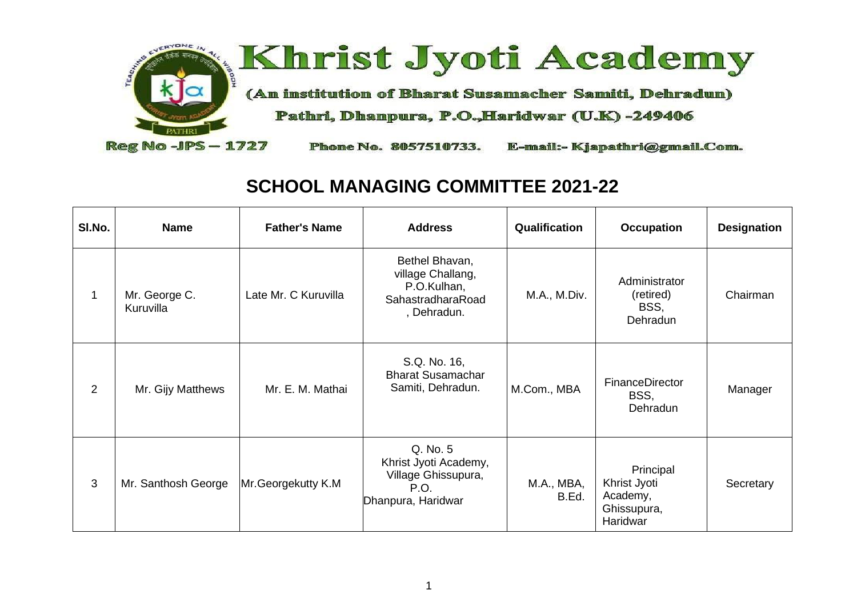

## **SCHOOL MANAGING COMMITTEE 2021-22**

| SI.No. | <b>Name</b>                | <b>Father's Name</b> | <b>Address</b>                                                                         | Qualification       | <b>Occupation</b>                                                | <b>Designation</b> |
|--------|----------------------------|----------------------|----------------------------------------------------------------------------------------|---------------------|------------------------------------------------------------------|--------------------|
|        | Mr. George C.<br>Kuruvilla | Late Mr. C Kuruvilla | Bethel Bhavan,<br>village Challang,<br>P.O.Kulhan,<br>SahastradharaRoad<br>, Dehradun. | M.A., M.Div.        | Administrator<br>(retired)<br>BSS,<br>Dehradun                   | Chairman           |
| 2      | Mr. Gijy Matthews          | Mr. E. M. Mathai     | S.Q. No. 16,<br><b>Bharat Susamachar</b><br>Samiti, Dehradun.                          | M.Com., MBA         | FinanceDirector<br>BSS,<br>Dehradun                              | Manager            |
| 3      | Mr. Santhosh George        | Mr.Georgekutty K.M   | Q. No. 5<br>Khrist Jyoti Academy,<br>Village Ghissupura,<br>P.O.<br>Dhanpura, Haridwar | M.A., MBA,<br>B.Ed. | Principal<br>Khrist Jyoti<br>Academy,<br>Ghissupura,<br>Haridwar | Secretary          |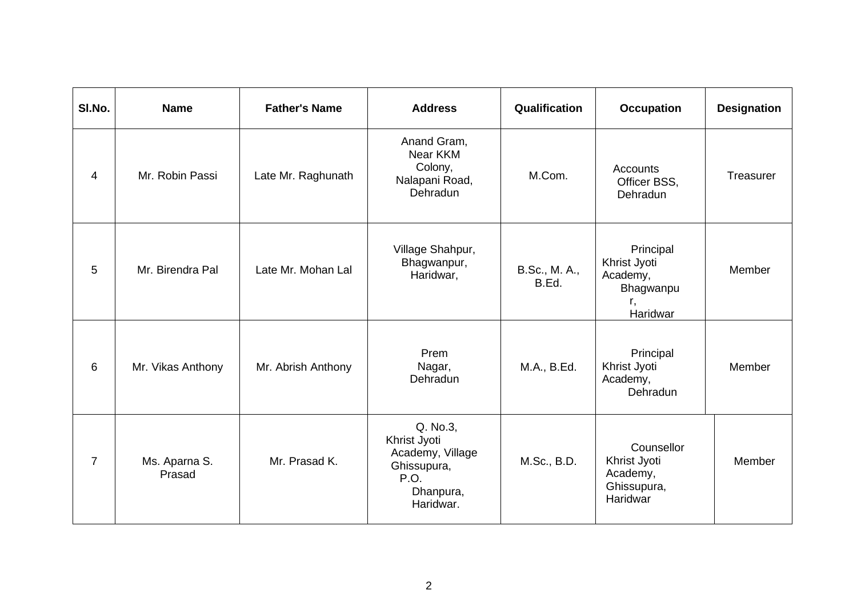| SI.No.         | <b>Name</b>             | <b>Father's Name</b> | <b>Address</b>                                                                                | Qualification          | <b>Occupation</b>                                                    | <b>Designation</b> |
|----------------|-------------------------|----------------------|-----------------------------------------------------------------------------------------------|------------------------|----------------------------------------------------------------------|--------------------|
| 4              | Mr. Robin Passi         | Late Mr. Raghunath   | Anand Gram,<br>Near KKM<br>Colony,<br>Nalapani Road,<br>Dehradun                              | M.Com.                 | <b>Accounts</b><br>Officer BSS,<br>Dehradun                          | Treasurer          |
| 5              | Mr. Birendra Pal        | Late Mr. Mohan Lal   | Village Shahpur,<br>Bhagwanpur,<br>Haridwar,                                                  | B.Sc., M. A.,<br>B.Ed. | Principal<br>Khrist Jyoti<br>Academy,<br>Bhagwanpu<br>r.<br>Haridwar | Member             |
| 6              | Mr. Vikas Anthony       | Mr. Abrish Anthony   | Prem<br>Nagar,<br>Dehradun                                                                    | M.A., B.Ed.            | Principal<br>Khrist Jyoti<br>Academy,<br>Dehradun                    | Member             |
| $\overline{7}$ | Ms. Aparna S.<br>Prasad | Mr. Prasad K.        | Q. No.3,<br>Khrist Jyoti<br>Academy, Village<br>Ghissupura,<br>P.O.<br>Dhanpura,<br>Haridwar. | M.Sc., B.D.            | Counsellor<br>Khrist Jyoti<br>Academy,<br>Ghissupura,<br>Haridwar    | Member             |